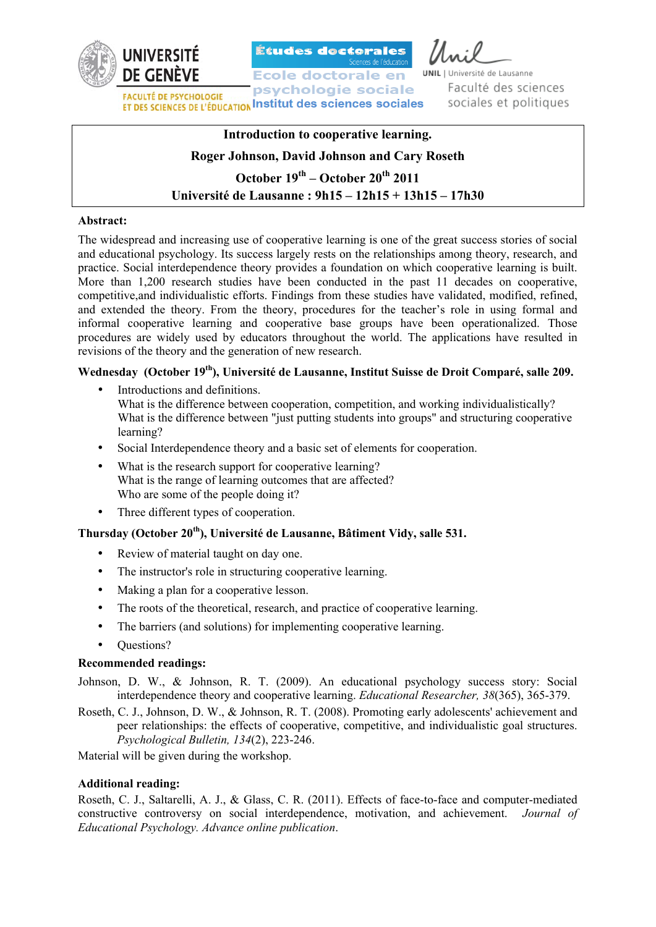

Études doctorales

**Ecole doctorale en** psychologie sociale **FACULTÉ DE PSYCHOLOGIE FACULTE DE PSYCHOLOGIE<br>ET DES SCIENCES DE L'ÉDUCATION INSTITUT des sciences sociales** 

TINTE versité de Lausanne Faculté des sciences sociales et politiques

# **Introduction to cooperative learning. Roger Johnson, David Johnson and Cary Roseth October 19th – October 20th 2011 Université de Lausanne : 9h15 – 12h15 + 13h15 – 17h30**

## **Abstract:**

The widespread and increasing use of cooperative learning is one of the great success stories of social and educational psychology. Its success largely rests on the relationships among theory, research, and practice. Social interdependence theory provides a foundation on which cooperative learning is built. More than 1,200 research studies have been conducted in the past 11 decades on cooperative, competitive,and individualistic efforts. Findings from these studies have validated, modified, refined, and extended the theory. From the theory, procedures for the teacher's role in using formal and informal cooperative learning and cooperative base groups have been operationalized. Those procedures are widely used by educators throughout the world. The applications have resulted in revisions of the theory and the generation of new research.

# **Wednesday (October 19th), Université de Lausanne, Institut Suisse de Droit Comparé, salle 209.**

- Introductions and definitions. What is the difference between cooperation, competition, and working individualistically? What is the difference between "just putting students into groups" and structuring cooperative learning?
- Social Interdependence theory and a basic set of elements for cooperation.
- What is the research support for cooperative learning? What is the range of learning outcomes that are affected? Who are some of the people doing it?
- Three different types of cooperation.

# **Thursday (October 20th), Université de Lausanne, Bâtiment Vidy, salle 531.**

- Review of material taught on day one.
- The instructor's role in structuring cooperative learning.
- Making a plan for a cooperative lesson.
- The roots of the theoretical, research, and practice of cooperative learning.
- The barriers (and solutions) for implementing cooperative learning.
- Questions?

## **Recommended readings:**

Johnson, D. W., & Johnson, R. T. (2009). An educational psychology success story: Social interdependence theory and cooperative learning. *Educational Researcher, 38*(365), 365-379.

Roseth, C. J., Johnson, D. W., & Johnson, R. T. (2008). Promoting early adolescents' achievement and peer relationships: the effects of cooperative, competitive, and individualistic goal structures. *Psychological Bulletin, 134*(2), 223-246.

Material will be given during the workshop.

## **Additional reading:**

Roseth, C. J., Saltarelli, A. J., & Glass, C. R. (2011). Effects of face-to-face and computer-mediated constructive controversy on social interdependence, motivation, and achievement. *Journal of Educational Psychology. Advance online publication*.